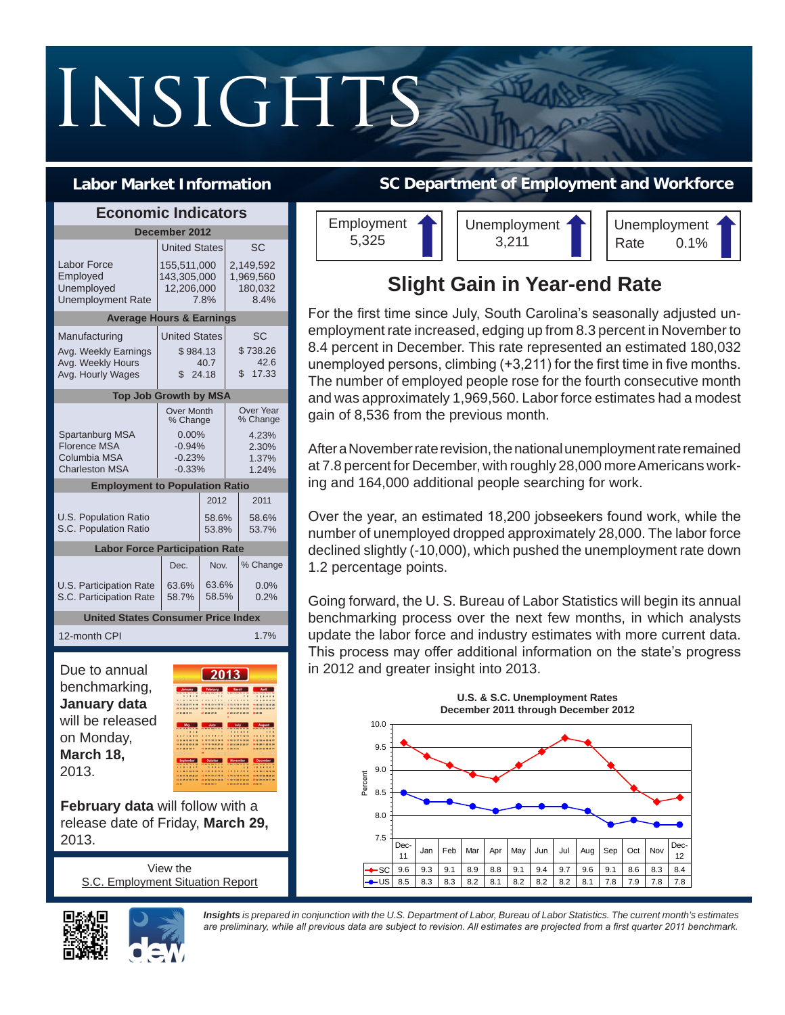# INSIGHTS

## **Labor Market Information**

| <b>Economic Indicators</b>                                                      |                                                                               |                              |                                                                  |  |
|---------------------------------------------------------------------------------|-------------------------------------------------------------------------------|------------------------------|------------------------------------------------------------------|--|
|                                                                                 | December 2012                                                                 |                              |                                                                  |  |
|                                                                                 | <b>United States</b>                                                          |                              | SC                                                               |  |
| Labor Force<br>Employed<br>Unemployed<br>Unemployment Rate                      | 155,511,000<br>143,305,000<br>12,206,000<br>7.8%                              |                              | 2,149,592<br>1,969,560<br>180.032<br>8.4%                        |  |
| <b>Average Hours &amp; Earnings</b>                                             |                                                                               |                              |                                                                  |  |
| Manufacturing<br>Avg. Weekly Earnings<br>Avg. Weekly Hours<br>Avg. Hourly Wages | <b>United States</b><br>\$984.13<br>40.7<br>24.18<br>$\mathbb{S}$             |                              | SC<br>\$738.26<br>42.6<br>\$17.33                                |  |
| <b>Top Job Growth by MSA</b>                                                    |                                                                               |                              |                                                                  |  |
| Spartanburg MSA<br><b>Florence MSA</b><br>Columbia MSA<br><b>Charleston MSA</b> | <b>Over Month</b><br>% Change<br>$0.00\%$<br>$-0.94%$<br>$-0.23%$<br>$-0.33%$ |                              | <b>Over Year</b><br>% Change<br>4.23%<br>2.30%<br>1.37%<br>1.24% |  |
| <b>Employment to Population Ratio</b>                                           |                                                                               |                              |                                                                  |  |
| 2012<br>2011                                                                    |                                                                               |                              |                                                                  |  |
| <b>U.S. Population Ratio</b><br>S.C. Population Ratio                           |                                                                               |                              | 58.6%<br>58.6%<br>53.8%<br>53.7%                                 |  |
| <b>Labor Force Participation Rate</b>                                           |                                                                               |                              |                                                                  |  |
|                                                                                 | Dec.                                                                          | Nov.                         | % Change                                                         |  |
| U.S. Participation Rate<br>S.C. Participation Rate                              | 63.6%<br>58.7%                                                                | 63.6%<br>58.5%               | 0.0%<br>0.2%                                                     |  |
| <b>United States Consumer Price Index</b>                                       |                                                                               |                              |                                                                  |  |
| 12-month CPI                                                                    |                                                                               |                              | 1.7%                                                             |  |
| Due to annual                                                                   |                                                                               | $\boxed{2013}$               |                                                                  |  |
| benchmarking,                                                                   |                                                                               | January February March       |                                                                  |  |
| January data                                                                    |                                                                               | --------<br>-------<br>----- | ------<br>* <b>***</b>                                           |  |
| will be released                                                                |                                                                               |                              |                                                                  |  |
| on Monday,                                                                      | -----                                                                         |                              |                                                                  |  |
| March 18,                                                                       |                                                                               | October Novemb               |                                                                  |  |
| 2013.                                                                           |                                                                               |                              |                                                                  |  |

**February data** will follow with a release date of Friday, **March 29,**  2013.

View the [S.C. Employment Situation Report](http://dew.sc.gov/documents/lmi-monthly-trends/December_2012.pdf)





**SC Department of Employment and Workforce**

Employment 5,325 Unemployment 3,211 Unemployment Rate 0.1%

# **Slight Gain in Year-end Rate**

For the first time since July, South Carolina's seasonally adjusted unemployment rate increased, edging up from 8.3 percent in November to 8.4 percent in December. This rate represented an estimated 180,032 unemployed persons, climbing (+3,211) for the first time in five months. The number of employed people rose for the fourth consecutive month and was approximately 1,969,560. Labor force estimates had a modest gain of 8,536 from the previous month.

After a November rate revision, the national unemployment rate remained at 7.8 percent for December, with roughly 28,000 more Americans working and 164,000 additional people searching for work.

Over the year, an estimated 18,200 jobseekers found work, while the number of unemployed dropped approximately 28,000. The labor force declined slightly (-10,000), which pushed the unemployment rate down 1.2 percentage points.

Going forward, the U. S. Bureau of Labor Statistics will begin its annual benchmarking process over the next few months, in which analysts update the labor force and industry estimates with more current data. This process may offer additional information on the state's progress in 2012 and greater insight into 2013.



*Insights is prepared in conjunction with the U.S. Department of Labor, Bureau of Labor Statistics. The current month's estimates are preliminary, while all previous data are subject to revision. All estimates are projected from a first quarter 2011 benchmark.*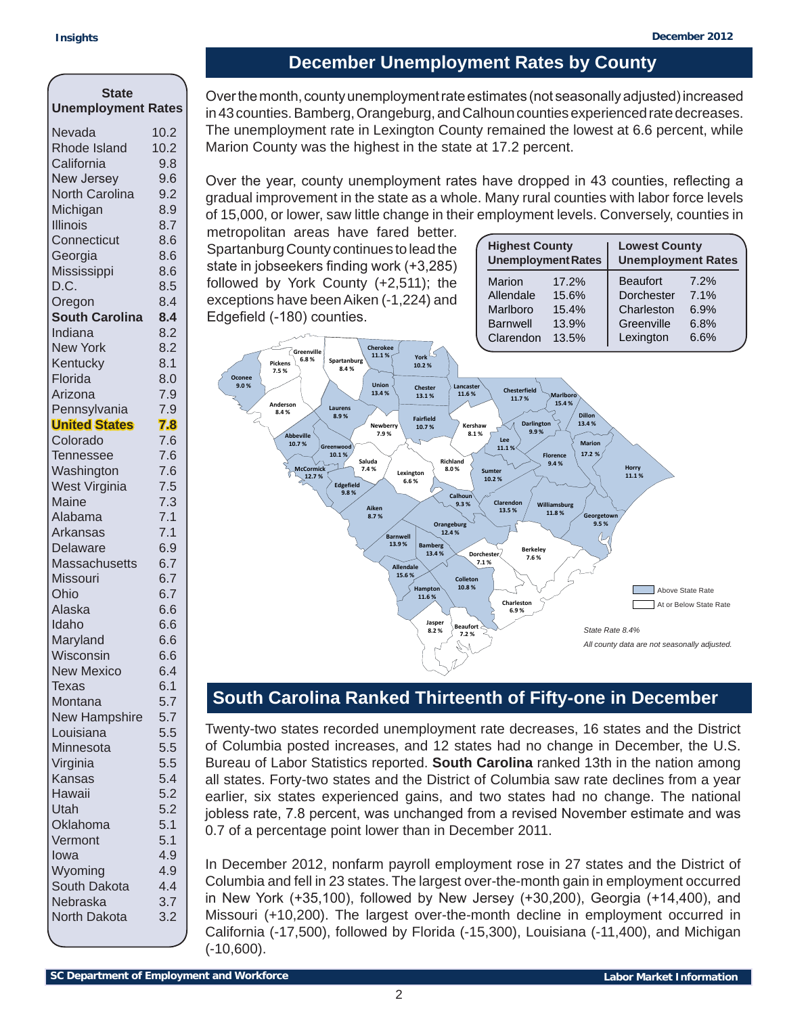## **December Unemployment Rates by County**

| State                             |            |
|-----------------------------------|------------|
| <b>Unemployment Rates</b>         |            |
| Nevada                            | 10.2       |
| <b>Rhode Island</b>               | 10.2       |
| California                        | 9.8        |
| <b>New Jersey</b>                 | 9.6        |
| North Carolina                    | 9.2        |
| Michigan                          | 8.9        |
| <b>Illinois</b>                   | 8.7        |
| Connecticut                       | 8.6        |
| Georgia                           | 8.6        |
| Mississippi                       | 8.6        |
| D.C.                              | 8.5        |
| Oregon<br><b>South Carolina</b>   | 8.4<br>8.4 |
| Indiana                           | 8.2        |
| <b>New York</b>                   | 8.2        |
| Kentucky                          | 8.1        |
| Florida                           | 8.0        |
| Arizona                           | 7.9        |
| Pennsylvania                      | 7.9        |
| <b>United States</b>              | 7.8        |
| Colorado                          | 7.6        |
| <b>Tennessee</b>                  | 7.6        |
| Washington                        | 7.6        |
| West Virginia                     | 7.5        |
| Maine                             | 7.3        |
| Alabama                           | 7.1        |
| Arkansas                          | 7.1        |
| Delaware                          | 6.9        |
| <b>Massachusetts</b>              | 6.7        |
| Missouri                          | 6.7        |
| Ohio                              | 6.7        |
| Alaska                            | 6.6        |
| Idaho                             | 6.6        |
| Maryland                          | 6.6        |
| Wisconsin                         | 6.6        |
| <b>New Mexico</b>                 | 6.4        |
| Texas                             | 6.1        |
| Montana                           | 5.7<br>5.7 |
| <b>New Hampshire</b><br>Louisiana | 5.5        |
| Minnesota                         | 5.5        |
| Virginia                          | 5.5        |
| Kansas                            | 5.4        |
| Hawaii                            | 5.2        |
| Utah                              | 5.2        |
| Oklahoma                          | 5.1        |
| Vermont                           | 5.1        |
| Iowa                              | 4.9        |
| Wyoming                           | 4.9        |
| South Dakota                      | 4.4        |
| Nebraska                          | 3.7        |
| North Dakota                      | 3.2        |
|                                   |            |

Over the month, county unemployment rate estimates (not seasonally adjusted) increased in 43 counties. Bamberg, Orangeburg, and Calhoun counties experienced rate decreases. The unemployment rate in Lexington County remained the lowest at 6.6 percent, while Marion County was the highest in the state at 17.2 percent.

Over the year, county unemployment rates have dropped in 43 counties, reflecting a gradual improvement in the state as a whole. Many rural counties with labor force levels of 15,000, or lower, saw little change in their employment levels. Conversely, counties in

metropolitan areas have fared better. Spartanburg County continues to lead the state in jobseekers finding work (+3,285) followed by York County (+2,511); the exceptions have been Aiken (-1,224) and Edgefield (-180) counties.

| <b>Highest County</b><br><b>Unemployment Rates</b> |       | <b>Lowest County</b><br><b>Unemployment Rates</b> |      |  |
|----------------------------------------------------|-------|---------------------------------------------------|------|--|
| Marion                                             | 17.2% | <b>Beaufort</b>                                   | 7.2% |  |
| Allendale                                          | 15.6% | Dorchester                                        | 7.1% |  |
| Marlboro                                           | 15.4% | Charleston                                        | 6.9% |  |
| <b>Barnwell</b>                                    | 13.9% | Greenville                                        | 6.8% |  |
| Clarendon                                          | 13.5% | Lexington                                         | 6.6% |  |
|                                                    |       |                                                   |      |  |



# **South Carolina Ranked Thirteenth of Fifty-one in December**

Twenty-two states recorded unemployment rate decreases, 16 states and the District of Columbia posted increases, and 12 states had no change in December, the U.S. Bureau of Labor Statistics reported. **South Carolina** ranked 13th in the nation among all states. Forty-two states and the District of Columbia saw rate declines from a year earlier, six states experienced gains, and two states had no change. The national jobless rate, 7.8 percent, was unchanged from a revised November estimate and was 0.7 of a percentage point lower than in December 2011.

In December 2012, nonfarm payroll employment rose in 27 states and the District of Columbia and fell in 23 states. The largest over-the-month gain in employment occurred in New York (+35,100), followed by New Jersey (+30,200), Georgia (+14,400), and Missouri (+10,200). The largest over-the-month decline in employment occurred in California (-17,500), followed by Florida (-15,300), Louisiana (-11,400), and Michigan (-10,600).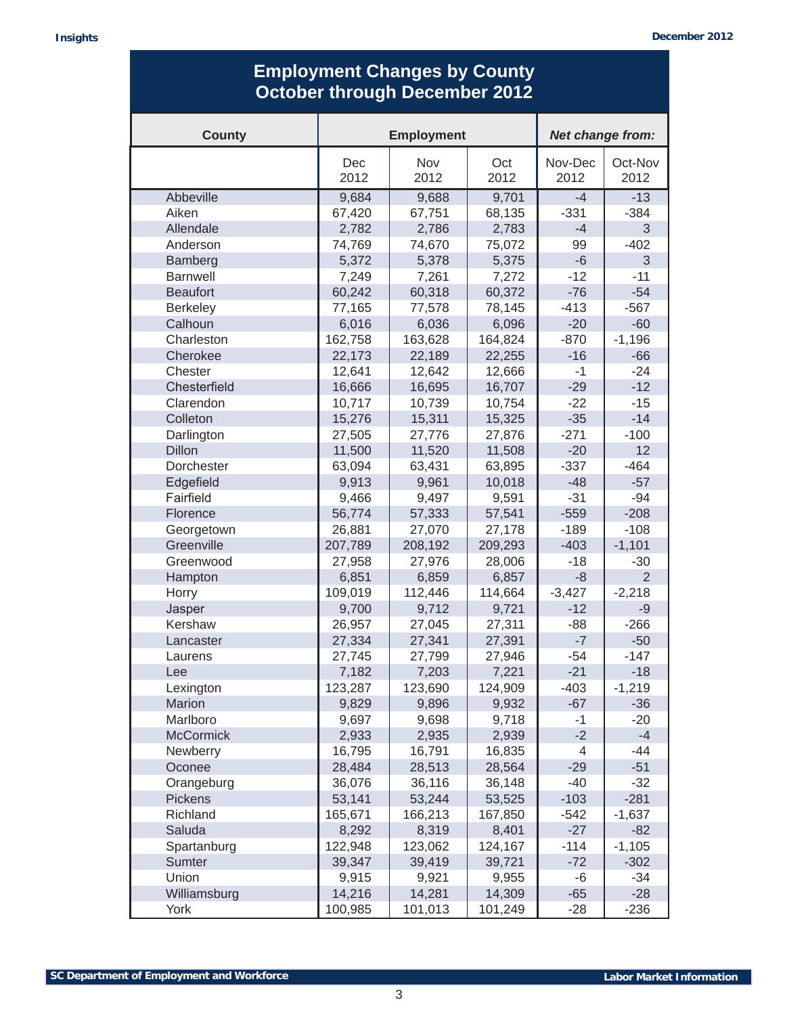# **Employment Changes by County October through December 2012**

| <b>County</b>     | <b>Employment</b> |                    |             | Net change from: |                 |
|-------------------|-------------------|--------------------|-------------|------------------|-----------------|
|                   | Dec<br>2012       | <b>Nov</b><br>2012 | Oct<br>2012 | Nov-Dec<br>2012  | Oct-Nov<br>2012 |
| Abbeville         | 9,684             | 9,688              | 9,701       | $-4$             | $-13$           |
| Aiken             | 67,420            | 67,751             | 68,135      | $-331$           | $-384$          |
| Allendale         | 2,782             | 2,786              | 2,783       | $-4$             | 3               |
| Anderson          | 74,769            | 74,670             | 75,072      | 99               | $-402$          |
| Bamberg           | 5,372             | 5,378              | 5,375       | $-6$             | 3               |
| <b>Barnwell</b>   | 7,249             | 7,261              | 7,272       | $-12$            | $-11$           |
| <b>Beaufort</b>   | 60,242            | 60,318             | 60,372      | $-76$            | $-54$           |
| <b>Berkeley</b>   | 77,165            | 77,578             | 78,145      | $-413$           | $-567$          |
| Calhoun           | 6,016             | 6,036              | 6,096       | $-20$            | $-60$           |
| Charleston        | 162,758           | 163,628            | 164,824     | $-870$           | $-1,196$        |
| Cherokee          | 22,173            | 22,189             | 22,255      | $-16$            | $-66$           |
| Chester           | 12,641            | 12,642             | 12,666      | -1               | $-24$           |
| Chesterfield      | 16,666            | 16,695             | 16,707      | $-29$            | $-12$           |
| Clarendon         | 10,717            | 10,739             | 10,754      | $-22$            | $-15$           |
| Colleton          | 15,276            | 15,311             | 15,325      | $-35$            | $-14$           |
| Darlington        | 27,505            | 27,776             | 27,876      | $-271$           | $-100$          |
| <b>Dillon</b>     | 11,500            | 11,520             | 11,508      | $-20$            | 12              |
| <b>Dorchester</b> | 63,094            | 63,431             | 63,895      | $-337$           | $-464$          |
| Edgefield         | 9,913             | 9,961              | 10,018      | $-48$            | $-57$           |
| Fairfield         | 9,466             | 9,497              | 9,591       | $-31$            | $-94$           |
| Florence          | 56,774            | 57,333             | 57,541      | $-559$           | $-208$          |
| Georgetown        | 26,881            | 27,070             | 27,178      | $-189$           | $-108$          |
| Greenville        | 207,789           | 208,192            | 209,293     | $-403$           | $-1,101$        |
| Greenwood         | 27,958            | 27,976             | 28,006      | $-18$            | $-30$           |
| Hampton           | 6,851             | 6,859              | 6,857       | -8               | $\overline{2}$  |
| Horry             | 109,019           | 112,446            | 114,664     | $-3,427$         | $-2,218$        |
| Jasper            | 9,700             | 9,712              | 9,721       | $-12$            | $-9$            |
| Kershaw           | 26,957            | 27,045             | 27,311      | $-88$            | $-266$          |
| Lancaster         | 27,334            | 27,341             | 27,391      | $-7$             | $-50$           |
| Laurens           | 27,745            | 27,799             | 27,946      | $-54$            | $-147$          |
| Lee               | 7,182             | 7,203              | 7,221       | $-21$            | $-18$           |
| Lexington         | 123,287           | 123,690            | 124,909     | -403             | $-1,219$        |
| Marion            | 9,829             | 9,896              | 9,932       | $-67$            | $-36$           |
| Marlboro          | 9,697             | 9,698              | 9,718       | $-1$             | $-20$           |
| <b>McCormick</b>  | 2,933             | 2,935              | 2,939       | $-2$             | $-4$            |
| Newberry          | 16,795            | 16,791             | 16,835      | 4                | $-44$           |
| Oconee            | 28,484            | 28,513             | 28,564      | $-29$            | $-51$           |
| Orangeburg        | 36,076            | 36,116             | 36,148      | $-40$            | $-32$           |
| <b>Pickens</b>    | 53,141            | 53,244             | 53,525      | $-103$           | $-281$          |
| Richland          | 165,671           | 166,213            | 167,850     | $-542$           | $-1,637$        |
| Saluda            | 8,292             | 8,319              | 8,401       | $-27$            | $-82$           |
| Spartanburg       | 122,948           | 123,062            | 124,167     | $-114$           | $-1,105$        |
| Sumter            | 39,347            | 39,419             | 39,721      | $-72$            | $-302$          |
| Union             | 9,915             | 9,921              | 9,955       | -6               | $-34$           |
| Williamsburg      | 14,216            | 14,281             | 14,309      | $-65$            | $-28$           |
| York              | 100,985           | 101,013            | 101,249     | $-28$            | $-236$          |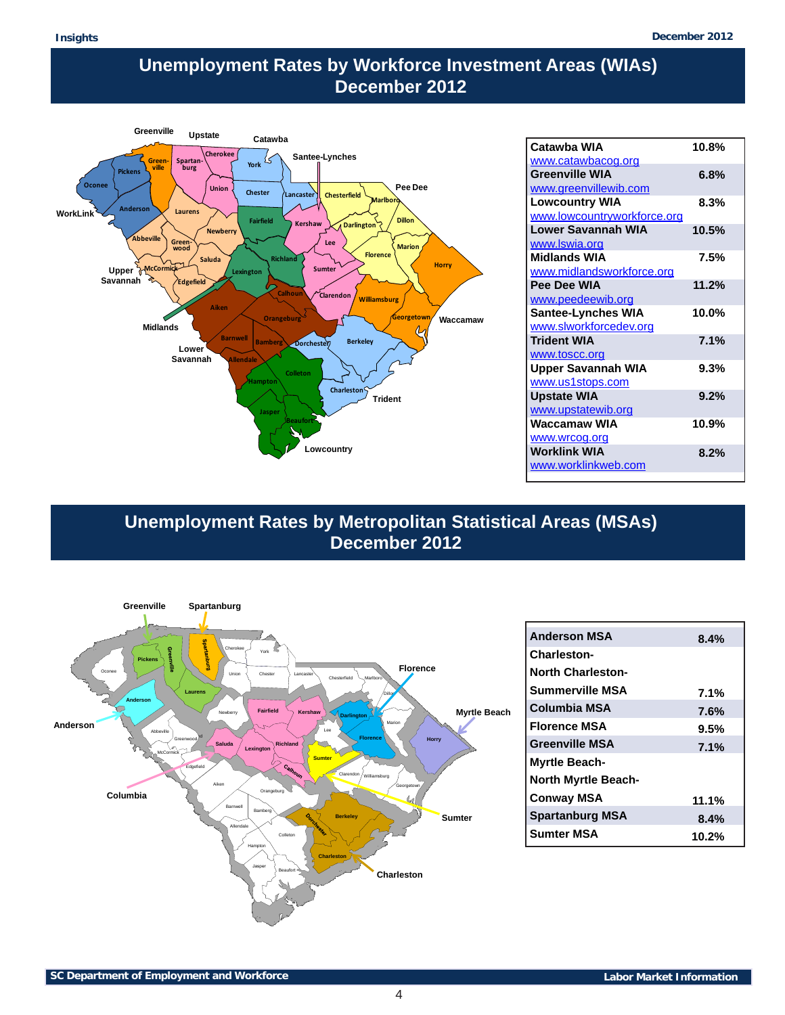## **Unemployment Rates by Workforce Investment Areas (WIAs) December 2012**



| Catawba WIA                 | 10.8% |
|-----------------------------|-------|
| www.catawbacog.org          |       |
| <b>Greenville WIA</b>       | 6.8%  |
| www.greenvillewib.com       |       |
| <b>Lowcountry WIA</b>       | 8.3%  |
| www.lowcountryworkforce.org |       |
| <b>Lower Savannah WIA</b>   | 10.5% |
| www.Iswia.org               |       |
| Midlands WIA                | 7.5%  |
| www.midlandsworkforce.org   |       |
| Pee Dee WIA                 | 11.2% |
| www.peedeewib.org           |       |
| <b>Santee-Lynches WIA</b>   | 10.0% |
| www.slworkforcedev.org      |       |
| <b>Trident WIA</b>          | 7.1%  |
| www.toscc.org               |       |
| <b>Upper Savannah WIA</b>   | 9.3%  |
| www.us1stops.com            |       |
| <b>Upstate WIA</b>          | 9.2%  |
| www.upstatewib.org          |       |
| Waccamaw WIA                | 10.9% |
| www.wrcog.org               |       |
| <b>Worklink WIA</b>         | 8.2%  |
| www.worklinkweb.com         |       |
|                             |       |

**Unemployment Rates by Metropolitan Statistical Areas (MSAs) December 2012**



| <b>Anderson MSA</b>        | 8.4%     |
|----------------------------|----------|
| Charleston-                |          |
| <b>North Charleston-</b>   |          |
| <b>Summerville MSA</b>     | 7.1%     |
| Columbia MSA               | $7.6\%$  |
| <b>Florence MSA</b>        | $9.5\%$  |
| <b>Greenville MSA</b>      | 7.1%     |
| <b>Myrtle Beach-</b>       |          |
| <b>North Myrtle Beach-</b> |          |
| <b>Conway MSA</b>          | 11.1%    |
| <b>Spartanburg MSA</b>     | $8.4\%$  |
| <b>Sumter MSA</b>          | $10.2\%$ |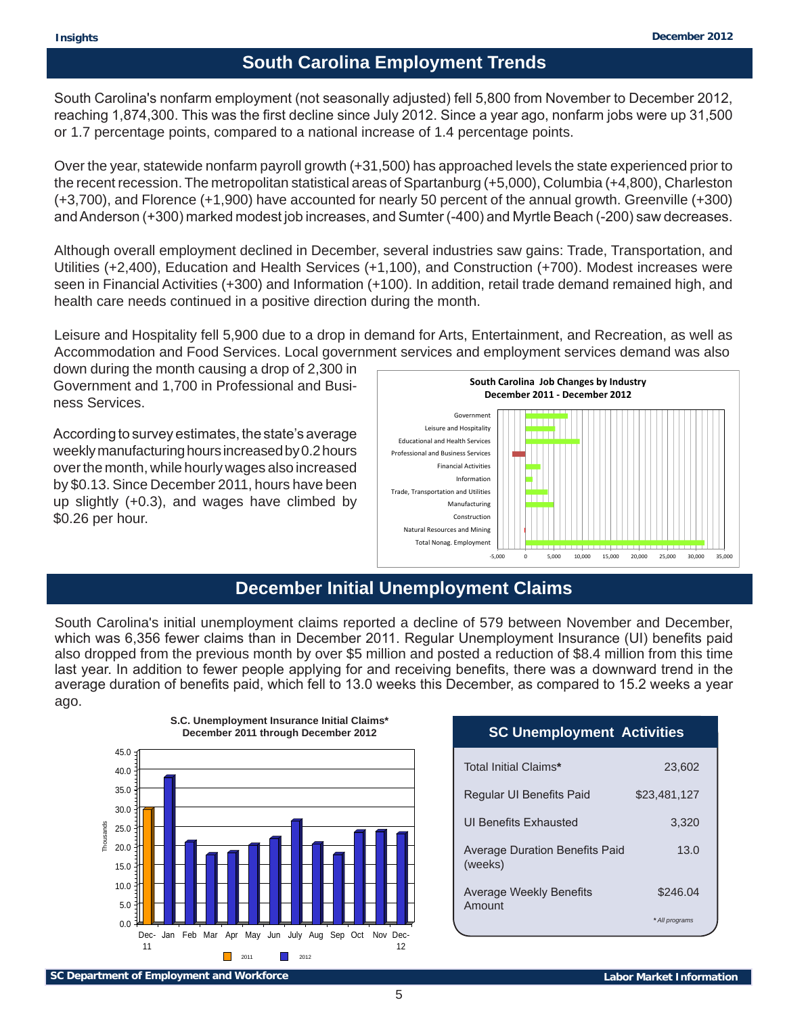# **South Carolina Employment Trends**

South Carolina's nonfarm employment (not seasonally adjusted) fell 5,800 from November to December 2012, reaching 1,874,300. This was the first decline since July 2012. Since a year ago, nonfarm jobs were up 31,500 or 1.7 percentage points, compared to a national increase of 1.4 percentage points.

Over the year, statewide nonfarm payroll growth (+31,500) has approached levels the state experienced prior to the recent recession. The metropolitan statistical areas of Spartanburg (+5,000), Columbia (+4,800), Charleston (+3,700), and Florence (+1,900) have accounted for nearly 50 percent of the annual growth. Greenville (+300) and Anderson (+300) marked modest job increases, and Sumter (-400) and Myrtle Beach (-200) saw decreases.

Although overall employment declined in December, several industries saw gains: Trade, Transportation, and Utilities (+2,400), Education and Health Services (+1,100), and Construction (+700). Modest increases were seen in Financial Activities (+300) and Information (+100). In addition, retail trade demand remained high, and health care needs continued in a positive direction during the month.

Leisure and Hospitality fell 5,900 due to a drop in demand for Arts, Entertainment, and Recreation, as well as Accommodation and Food Services. Local government services and employment services demand was also

down during the month causing a drop of 2,300 in Government and 1,700 in Professional and Business Services.

According to survey estimates, the state's average weekly manufacturing hours increased by 0.2 hours over the month, while hourly wages also increased by \$0.13. Since December 2011, hours have been up slightly (+0.3), and wages have climbed by \$0.26 per hour.



### **December Initial Unemployment Claims**

South Carolina's initial unemployment claims reported a decline of 579 between November and December, which was 6,356 fewer claims than in December 2011. Regular Unemployment Insurance (UI) benefits paid also dropped from the previous month by over \$5 million and posted a reduction of \$8.4 million from this time last year. In addition to fewer people applying for and receiving benefits, there was a downward trend in the average duration of benefits paid, which fell to 13.0 weeks this December, as compared to 15.2 weeks a year ago.



#### **SC Unemployment Activities**

| Total Initial Claims*                     | 23,602         |
|-------------------------------------------|----------------|
| Regular UI Benefits Paid                  | \$23,481,127   |
| UI Benefits Exhausted                     | 3,320          |
| Average Duration Benefits Paid<br>(weeks) | 13.0           |
| <b>Average Weekly Benefits</b><br>Amount  | \$246.04       |
|                                           | * All programs |